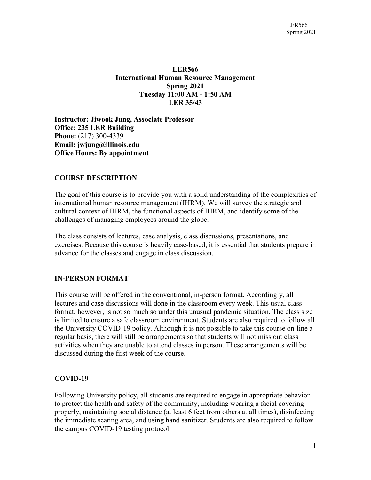# **LER566 International Human Resource Management Spring 2021 Tuesday 11:00 AM - 1:50 AM LER 35/43**

**Instructor: Jiwook Jung, Associate Professor Office: 235 LER Building Phone:** (217) 300-4339 **Email: [jwjung@illinois.edu](mailto:ychen01@illinois.edu) Office Hours: By appointment**

## **COURSE DESCRIPTION**

The goal of this course is to provide you with a solid understanding of the complexities of international human resource management (IHRM). We will survey the strategic and cultural context of IHRM, the functional aspects of IHRM, and identify some of the challenges of managing employees around the globe.

The class consists of lectures, case analysis, class discussions, presentations, and exercises. Because this course is heavily case-based, it is essential that students prepare in advance for the classes and engage in class discussion.

## **IN-PERSON FORMAT**

This course will be offered in the conventional, in-person format. Accordingly, all lectures and case discussions will done in the classroom every week. This usual class format, however, is not so much so under this unusual pandemic situation. The class size is limited to ensure a safe classroom environment. Students are also required to follow all the University COVID-19 policy. Although it is not possible to take this course on-line a regular basis, there will still be arrangements so that students will not miss out class activities when they are unable to attend classes in person. These arrangements will be discussed during the first week of the course.

## **COVID-19**

Following University policy, all students are required to engage in appropriate behavior to protect the health and safety of the community, including wearing a facial covering properly, maintaining social distance (at least 6 feet from others at all times), disinfecting the immediate seating area, and using hand sanitizer. Students are also required to follow the campus COVID-19 testing protocol.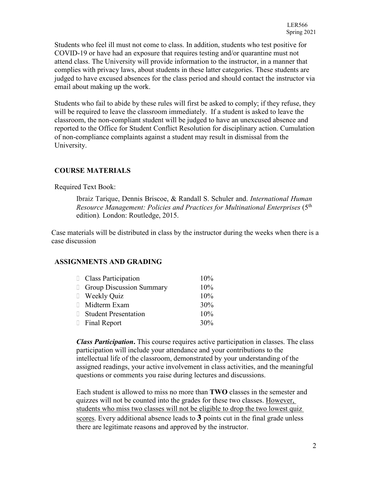Students who feel ill must not come to class. In addition, students who test positive for COVID-19 or have had an exposure that requires testing and/or quarantine must not attend class. The University will provide information to the instructor, in a manner that complies with privacy laws, about students in these latter categories. These students are judged to have excused absences for the class period and should contact the instructor via email about making up the work.

Students who fail to abide by these rules will first be asked to comply; if they refuse, they will be required to leave the classroom immediately. If a student is asked to leave the classroom, the non-compliant student will be judged to have an unexcused absence and reported to the Office for Student Conflict Resolution for disciplinary action. Cumulation of non-compliance complaints against a student may result in dismissal from the University.

# **COURSE MATERIALS**

## Required Text Book:

[Ibraiz Tarique,](http://www.routledge.com/books/search/author/ibraiz_tarique/) Dennis Briscoe, & Randall S. Schuler and. *International Human Resource Management: Policies and Practices for Multinational Enterprises* (5<sup>th</sup> edition)*.* London: Routledge, 2015.

Case materials will be distributed in class by the instructor during the weeks when there is a case discussion

# **ASSIGNMENTS AND GRADING**

| Class Participation             | 10% |
|---------------------------------|-----|
| <b>Group Discussion Summary</b> | 10% |
| □ Weekly Quiz                   | 10% |
| □ Midterm Exam                  | 30% |
| □ Student Presentation          | 10% |
| Final Report                    | 30% |

*Class Participation***.** This course requires active participation in classes. The class participation will include your attendance and your contributions to the intellectual life of the classroom, demonstrated by your understanding of the assigned readings, your active involvement in class activities, and the meaningful questions or comments you raise during lectures and discussions.

Each student is allowed to miss no more than **TWO** classes in the semester and quizzes will not be counted into the grades for these two classes. However, students who miss two classes will not be eligible to drop the two lowest quiz scores. Every additional absence leads to **3** points cut in the final grade unless there are legitimate reasons and approved by the instructor.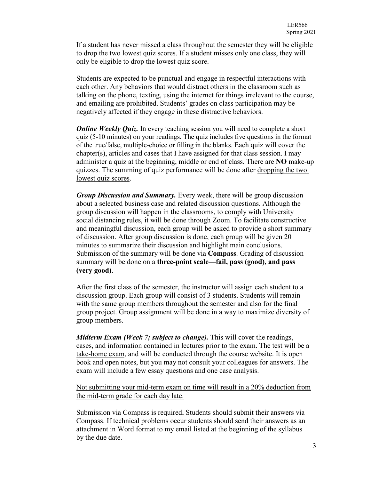If a student has never missed a class throughout the semester they will be eligible to drop the two lowest quiz scores. If a student misses only one class, they will only be eligible to drop the lowest quiz score.

Students are expected to be punctual and engage in respectful interactions with each other. Any behaviors that would distract others in the classroom such as talking on the phone, texting, using the internet for things irrelevant to the course, and emailing are prohibited. Students' grades on class participation may be negatively affected if they engage in these distractive behaviors.

*Online Weekly Quiz.* In every teaching session you will need to complete a short quiz (5-10 minutes) on your readings. The quiz includes five questions in the format of the true/false, multiple-choice or filling in the blanks. Each quiz will cover the chapter(s), articles and cases that I have assigned for that class session. I may administer a quiz at the beginning, middle or end of class. There are **NO** make-up quizzes. The summing of quiz performance will be done after dropping the two lowest quiz scores.

*Group Discussion and Summary.* Every week, there will be group discussion about a selected business case and related discussion questions. Although the group discussion will happen in the classrooms, to comply with University social distancing rules, it will be done through Zoom. To facilitate constructive and meaningful discussion, each group will be asked to provide a short summary of discussion. After group discussion is done, each group will be given 20 minutes to summarize their discussion and highlight main conclusions. Submission of the summary will be done via **Compass**. Grading of discussion summary will be done on a **three-point scale—fail, pass (good), and pass (very good)**.

After the first class of the semester, the instructor will assign each student to a discussion group. Each group will consist of 3 students. Students will remain with the same group members throughout the semester and also for the final group project. Group assignment will be done in a way to maximize diversity of group members.

*Midterm Exam (Week 7; subject to change)*. This will cover the readings, cases, and information contained in lectures prior to the exam. The test will be a take-home exam, and will be conducted through the course website. It is open book and open notes, but you may not consult your colleagues for answers. The exam will include a few essay questions and one case analysis.

Not submitting your mid-term exam on time will result in a 20% deduction from the mid-term grade for each day late.

Submission via Compass is required**.** Students should submit their answers via Compass. If technical problems occur students should send their answers as an attachment in Word format to my email listed at the beginning of the syllabus by the due date.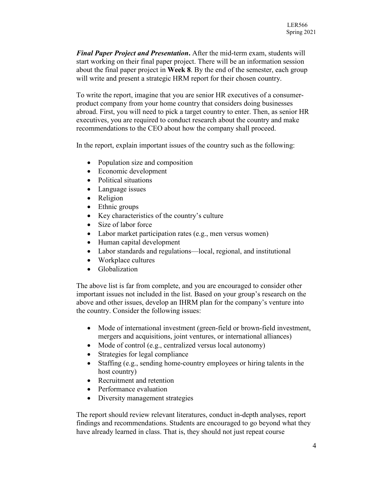*Final Paper Project and Presentation***.** After the mid-term exam, students will start working on their final paper project. There will be an information session about the final paper project in **Week 8**. By the end of the semester, each group will write and present a strategic HRM report for their chosen country.

To write the report, imagine that you are senior HR executives of a consumerproduct company from your home country that considers doing businesses abroad. First, you will need to pick a target country to enter. Then, as senior HR executives, you are required to conduct research about the country and make recommendations to the CEO about how the company shall proceed.

In the report, explain important issues of the country such as the following:

- Population size and composition
- Economic development
- Political situations
- Language issues
- Religion
- Ethnic groups
- Key characteristics of the country's culture
- Size of labor force
- Labor market participation rates (e.g., men versus women)
- Human capital development
- Labor standards and regulations—local, regional, and institutional
- Workplace cultures
- Globalization

The above list is far from complete, and you are encouraged to consider other important issues not included in the list. Based on your group's research on the above and other issues, develop an IHRM plan for the company's venture into the country. Consider the following issues:

- Mode of international investment (green-field or brown-field investment, mergers and acquisitions, joint ventures, or international alliances)
- Mode of control (e.g., centralized versus local autonomy)
- Strategies for legal compliance
- Staffing (e.g., sending home-country employees or hiring talents in the host country)
- Recruitment and retention
- Performance evaluation
- Diversity management strategies

The report should review relevant literatures, conduct in-depth analyses, report findings and recommendations. Students are encouraged to go beyond what they have already learned in class. That is, they should not just repeat course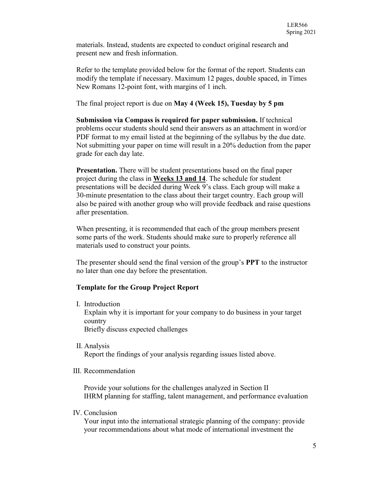materials. Instead, students are expected to conduct original research and present new and fresh information.

Refer to the template provided below for the format of the report. Students can modify the template if necessary. Maximum 12 pages, double spaced, in Times New Romans 12-point font, with margins of 1 inch.

The final project report is due on **May 4 (Week 15), Tuesday by 5 pm**

**Submission via Compass is required for paper submission.** If technical problems occur students should send their answers as an attachment in word/or PDF format to my email listed at the beginning of the syllabus by the due date. Not submitting your paper on time will result in a 20% deduction from the paper grade for each day late.

**Presentation.** There will be student presentations based on the final paper project during the class in **Weeks 13 and 14**. The schedule for student presentations will be decided during Week 9's class. Each group will make a 30-minute presentation to the class about their target country. Each group will also be paired with another group who will provide feedback and raise questions after presentation.

When presenting, it is recommended that each of the group members present some parts of the work. Students should make sure to properly reference all materials used to construct your points.

The presenter should send the final version of the group's **PPT** to the instructor no later than one day before the presentation.

## **Template for the Group Project Report**

I. Introduction

Explain why it is important for your company to do business in your target country Briefly discuss expected challenges

II. Analysis

Report the findings of your analysis regarding issues listed above.

III. Recommendation

Provide your solutions for the challenges analyzed in Section II IHRM planning for staffing, talent management, and performance evaluation

IV. Conclusion

Your input into the international strategic planning of the company: provide your recommendations about what mode of international investment the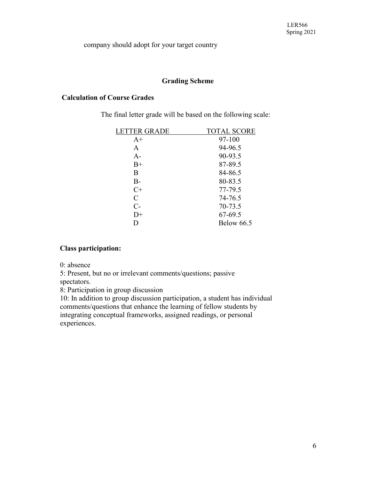company should adopt for your target country

## **Grading Scheme**

# **Calculation of Course Grades**

The final letter grade will be based on the following scale:

| <b>LETTER GRADE</b> | <b>TOTAL SCORE</b> |
|---------------------|--------------------|
| $A+$                | 97-100             |
| A                   | 94-96.5            |
| $A-$                | 90-93.5            |
| $B+$                | 87-89.5            |
| B                   | 84-86.5            |
| $B-$                | 80-83.5            |
| $C+$                | 77-79.5            |
| C                   | 74-76.5            |
| $C-$                | 70-73.5            |
| $D+$                | 67-69.5            |
| D                   | <b>Below 66.5</b>  |
|                     |                    |

## **Class participation:**

0: absence

5: Present, but no or irrelevant comments/questions; passive

spectators.

8: Participation in group discussion

10: In addition to group discussion participation, a student has individual comments/questions that enhance the learning of fellow students by integrating conceptual frameworks, assigned readings, or personal experiences.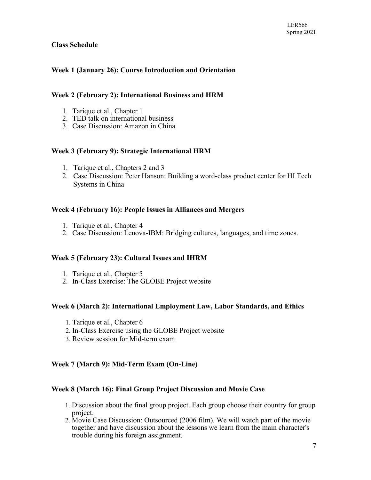## **Class Schedule**

# **Week 1 (January 26): Course Introduction and Orientation**

### **Week 2 (February 2): International Business and HRM**

- 1. Tarique et al., Chapter 1
- 2. TED talk on international business
- 3. Case Discussion: Amazon in China

### **Week 3 (February 9): Strategic International HRM**

- 1. Tarique et al., Chapters 2 and 3
- 2. Case Discussion: Peter Hanson: Building a word-class product center for HI Tech Systems in China

### **Week 4 (February 16): People Issues in Alliances and Mergers**

- 1. Tarique et al., Chapter 4
- 2. Case Discussion: Lenova-IBM: Bridging cultures, languages, and time zones.

#### **Week 5 (February 23): Cultural Issues and IHRM**

- 1. Tarique et al., Chapter 5
- 2. In-Class Exercise: The GLOBE Project website

#### **Week 6 (March 2): International Employment Law, Labor Standards, and Ethics**

- 1. Tarique et al., Chapter 6
- 2. In-Class Exercise using the GLOBE Project website
- 3. Review session for Mid-term exam

## **Week 7 (March 9): Mid-Term Exam (On-Line)**

#### **Week 8 (March 16): Final Group Project Discussion and Movie Case**

- 1. Discussion about the final group project. Each group choose their country for group project.
- 2. Movie Case Discussion: Outsourced (2006 film). We will watch part of the movie together and have discussion about the lessons we learn from the main character's trouble during his foreign assignment.